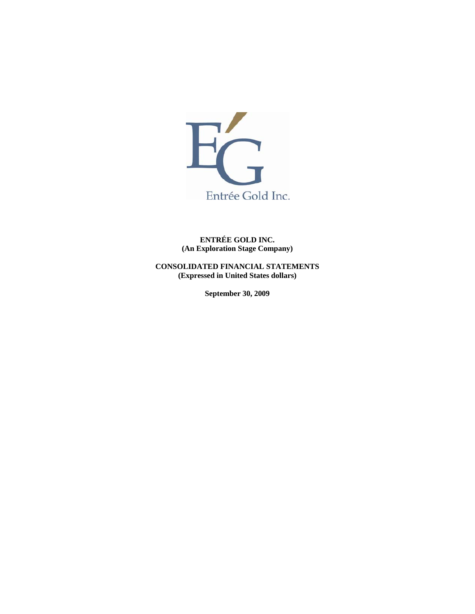

**ENTRÉE GOLD INC. (An Exploration Stage Company)** 

**CONSOLIDATED FINANCIAL STATEMENTS (Expressed in United States dollars)** 

**September 30, 2009**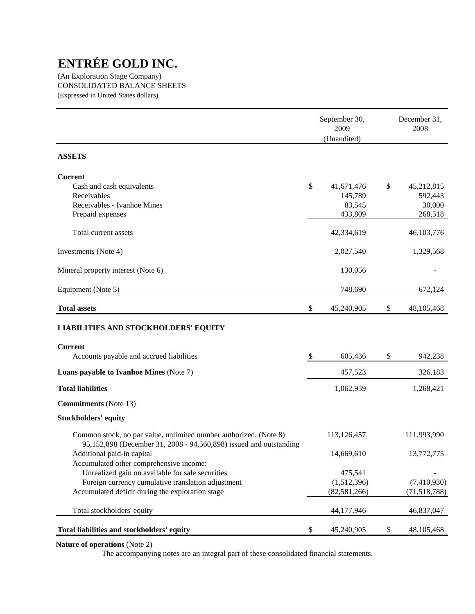(An Exploration Stage Company) CONSOLIDATED BALANCE SHEETS (Expressed in United States dollars)

|                                                                                                                                         | September 30,<br>2009<br>(Unaudited) | December 31,<br>2008 |
|-----------------------------------------------------------------------------------------------------------------------------------------|--------------------------------------|----------------------|
| <b>ASSETS</b>                                                                                                                           |                                      |                      |
| <b>Current</b>                                                                                                                          |                                      |                      |
| Cash and cash equivalents                                                                                                               | \$<br>41,671,476                     | \$<br>45,212,815     |
| Receivables<br>Receivables - Ivanhoe Mines                                                                                              | 145,789<br>83,545                    | 592,443<br>30,000    |
| Prepaid expenses                                                                                                                        | 433,809                              | 268,518              |
| Total current assets                                                                                                                    | 42,334,619                           | 46,103,776           |
| Investments (Note 4)                                                                                                                    | 2,027,540                            | 1,329,568            |
| Mineral property interest (Note 6)                                                                                                      | 130,056                              |                      |
| Equipment (Note 5)                                                                                                                      | 748,690                              | 672,124              |
| <b>Total assets</b>                                                                                                                     | \$<br>45,240,905                     | \$<br>48, 105, 468   |
| <b>LIABILITIES AND STOCKHOLDERS' EQUITY</b>                                                                                             |                                      |                      |
| <b>Current</b>                                                                                                                          |                                      |                      |
| Accounts payable and accrued liabilities                                                                                                | \$<br>605,436                        | \$<br>942,238        |
| Loans payable to Ivanhoe Mines (Note 7)                                                                                                 | 457,523                              | 326,183              |
| <b>Total liabilities</b>                                                                                                                | 1,062,959                            | 1,268,421            |
| <b>Commitments</b> (Note 13)                                                                                                            |                                      |                      |
| <b>Stockholders' equity</b>                                                                                                             |                                      |                      |
| Common stock, no par value, unlimited number authorized, (Note 8)<br>95,152,898 (December 31, 2008 - 94,560,898) issued and outstanding | 113,126,457                          | 111,993,990          |
| Additional paid-in capital                                                                                                              | 14,669,610                           | 13,772,775           |
| Accumulated other comprehensive income:<br>Unrealized gain on available for sale securities                                             | 475,541                              |                      |
| Foreign currency cumulative translation adjustment                                                                                      | (1,512,396)                          | (7,410,930)          |
| Accumulated deficit during the exploration stage                                                                                        | (82, 581, 266)                       | (71, 518, 788)       |
| Total stockholders' equity                                                                                                              | 44,177,946                           | 46,837,047           |
| Total liabilities and stockholders' equity                                                                                              | \$<br>45,240,905                     | \$<br>48, 105, 468   |

# **Nature of operations** (Note 2)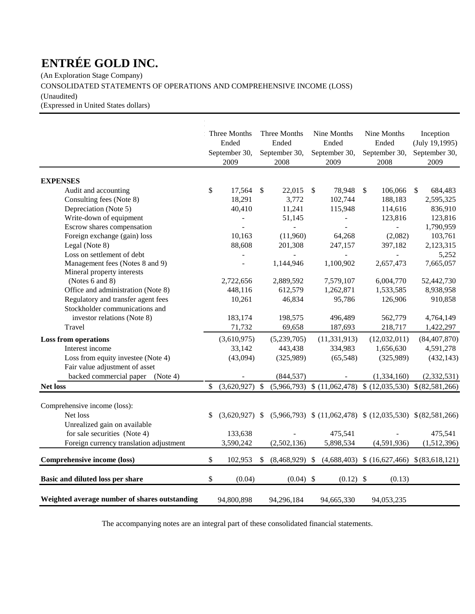(An Exploration Stage Company)

CONSOLIDATED STATEMENTS OF OPERATIONS AND COMPREHENSIVE INCOME (LOSS)

(Unaudited)

(Expressed in United States dollars)

|                |                                                                                                                                                                                 |                                   |                                                                                                                                                                        |                                 | Nine Months                                                                                                                                                                                            | Inception                                                                                                                                                                                                                                                                                                                                        |
|----------------|---------------------------------------------------------------------------------------------------------------------------------------------------------------------------------|-----------------------------------|------------------------------------------------------------------------------------------------------------------------------------------------------------------------|---------------------------------|--------------------------------------------------------------------------------------------------------------------------------------------------------------------------------------------------------|--------------------------------------------------------------------------------------------------------------------------------------------------------------------------------------------------------------------------------------------------------------------------------------------------------------------------------------------------|
| Ended          |                                                                                                                                                                                 | Ended                             |                                                                                                                                                                        | Ended                           | Ended                                                                                                                                                                                                  | (July 19, 1995)                                                                                                                                                                                                                                                                                                                                  |
|                |                                                                                                                                                                                 |                                   |                                                                                                                                                                        |                                 | September 30,                                                                                                                                                                                          | September 30,                                                                                                                                                                                                                                                                                                                                    |
| 2009           |                                                                                                                                                                                 | 2008                              |                                                                                                                                                                        | 2009                            | 2008                                                                                                                                                                                                   | 2009                                                                                                                                                                                                                                                                                                                                             |
|                |                                                                                                                                                                                 |                                   |                                                                                                                                                                        |                                 |                                                                                                                                                                                                        |                                                                                                                                                                                                                                                                                                                                                  |
|                |                                                                                                                                                                                 |                                   | \$                                                                                                                                                                     |                                 | $\mathbb{S}$                                                                                                                                                                                           | <sup>\$</sup><br>684,483                                                                                                                                                                                                                                                                                                                         |
|                |                                                                                                                                                                                 |                                   |                                                                                                                                                                        |                                 |                                                                                                                                                                                                        | 2,595,325                                                                                                                                                                                                                                                                                                                                        |
|                |                                                                                                                                                                                 |                                   |                                                                                                                                                                        |                                 |                                                                                                                                                                                                        | 836,910                                                                                                                                                                                                                                                                                                                                          |
|                |                                                                                                                                                                                 | 51,145                            |                                                                                                                                                                        |                                 | 123,816                                                                                                                                                                                                | 123,816                                                                                                                                                                                                                                                                                                                                          |
|                |                                                                                                                                                                                 | $\overline{a}$                    |                                                                                                                                                                        |                                 |                                                                                                                                                                                                        | 1,790,959                                                                                                                                                                                                                                                                                                                                        |
| 10,163         |                                                                                                                                                                                 | (11,960)                          |                                                                                                                                                                        | 64,268                          | (2,082)                                                                                                                                                                                                | 103,761                                                                                                                                                                                                                                                                                                                                          |
| 88,608         |                                                                                                                                                                                 | 201,308                           |                                                                                                                                                                        | 247,157                         | 397,182                                                                                                                                                                                                | 2,123,315                                                                                                                                                                                                                                                                                                                                        |
| $\overline{a}$ |                                                                                                                                                                                 |                                   |                                                                                                                                                                        |                                 |                                                                                                                                                                                                        | 5,252                                                                                                                                                                                                                                                                                                                                            |
| $\overline{a}$ |                                                                                                                                                                                 | 1,144,946                         |                                                                                                                                                                        | 1,100,902                       | 2,657,473                                                                                                                                                                                              | 7,665,057                                                                                                                                                                                                                                                                                                                                        |
|                |                                                                                                                                                                                 |                                   |                                                                                                                                                                        |                                 |                                                                                                                                                                                                        |                                                                                                                                                                                                                                                                                                                                                  |
|                |                                                                                                                                                                                 |                                   |                                                                                                                                                                        |                                 |                                                                                                                                                                                                        | 52,442,730                                                                                                                                                                                                                                                                                                                                       |
|                |                                                                                                                                                                                 |                                   |                                                                                                                                                                        |                                 |                                                                                                                                                                                                        | 8,938,958                                                                                                                                                                                                                                                                                                                                        |
|                |                                                                                                                                                                                 |                                   |                                                                                                                                                                        |                                 |                                                                                                                                                                                                        | 910,858                                                                                                                                                                                                                                                                                                                                          |
|                |                                                                                                                                                                                 |                                   |                                                                                                                                                                        |                                 |                                                                                                                                                                                                        |                                                                                                                                                                                                                                                                                                                                                  |
|                |                                                                                                                                                                                 |                                   |                                                                                                                                                                        |                                 |                                                                                                                                                                                                        | 4,764,149                                                                                                                                                                                                                                                                                                                                        |
|                |                                                                                                                                                                                 |                                   |                                                                                                                                                                        |                                 |                                                                                                                                                                                                        | 1,422,297                                                                                                                                                                                                                                                                                                                                        |
| (3,610,975)    |                                                                                                                                                                                 | (5,239,705)                       |                                                                                                                                                                        |                                 | (12,032,011)                                                                                                                                                                                           | (84, 407, 870)                                                                                                                                                                                                                                                                                                                                   |
|                |                                                                                                                                                                                 |                                   |                                                                                                                                                                        |                                 |                                                                                                                                                                                                        | 4,591,278                                                                                                                                                                                                                                                                                                                                        |
|                |                                                                                                                                                                                 |                                   |                                                                                                                                                                        |                                 |                                                                                                                                                                                                        | (432, 143)                                                                                                                                                                                                                                                                                                                                       |
|                |                                                                                                                                                                                 |                                   |                                                                                                                                                                        |                                 |                                                                                                                                                                                                        |                                                                                                                                                                                                                                                                                                                                                  |
|                |                                                                                                                                                                                 |                                   |                                                                                                                                                                        |                                 |                                                                                                                                                                                                        | (2, 332, 531)                                                                                                                                                                                                                                                                                                                                    |
| \$             | \$                                                                                                                                                                              |                                   |                                                                                                                                                                        |                                 |                                                                                                                                                                                                        | \$ (82,581,266)                                                                                                                                                                                                                                                                                                                                  |
|                |                                                                                                                                                                                 |                                   |                                                                                                                                                                        |                                 |                                                                                                                                                                                                        |                                                                                                                                                                                                                                                                                                                                                  |
|                |                                                                                                                                                                                 |                                   |                                                                                                                                                                        |                                 |                                                                                                                                                                                                        |                                                                                                                                                                                                                                                                                                                                                  |
|                |                                                                                                                                                                                 |                                   |                                                                                                                                                                        |                                 |                                                                                                                                                                                                        |                                                                                                                                                                                                                                                                                                                                                  |
|                |                                                                                                                                                                                 |                                   |                                                                                                                                                                        |                                 |                                                                                                                                                                                                        | 475,541                                                                                                                                                                                                                                                                                                                                          |
|                |                                                                                                                                                                                 |                                   |                                                                                                                                                                        |                                 |                                                                                                                                                                                                        | (1,512,396)                                                                                                                                                                                                                                                                                                                                      |
|                |                                                                                                                                                                                 |                                   |                                                                                                                                                                        |                                 |                                                                                                                                                                                                        |                                                                                                                                                                                                                                                                                                                                                  |
| \$<br>102,953  | \$                                                                                                                                                                              |                                   |                                                                                                                                                                        |                                 |                                                                                                                                                                                                        |                                                                                                                                                                                                                                                                                                                                                  |
| \$<br>(0.04)   |                                                                                                                                                                                 |                                   |                                                                                                                                                                        |                                 | (0.13)                                                                                                                                                                                                 |                                                                                                                                                                                                                                                                                                                                                  |
| 94,800,898     |                                                                                                                                                                                 | 94,296,184                        |                                                                                                                                                                        |                                 | 94,053,235                                                                                                                                                                                             |                                                                                                                                                                                                                                                                                                                                                  |
| \$<br>\$       | Three Months<br>September 30,<br>17,564<br>18,291<br>40,410<br>2,722,656<br>448,116<br>10,261<br>183,174<br>71,732<br>33,142<br>(43,094)<br>(3,620,927)<br>133,638<br>3,590,242 | $\mathcal{S}$<br>$(3,620,927)$ \$ | Three Months<br>September 30,<br>22,015<br>3,772<br>11,241<br>2,889,592<br>612,579<br>46,834<br>198,575<br>69,658<br>443,438<br>(325,989)<br>(844, 537)<br>(2,502,136) | $(8,468,929)$ \$<br>$(0.04)$ \$ | Nine Months<br>September 30,<br>78,948<br>102,744<br>115,948<br>7,579,107<br>1,262,871<br>95,786<br>496,489<br>187,693<br>(11, 331, 913)<br>334,983<br>(65, 548)<br>475,541<br>5,898,534<br>94,665,330 | 106,066<br>188,183<br>114,616<br>6,004,770<br>1,533,585<br>126,906<br>562,779<br>218,717<br>1,656,630<br>(325,989)<br>(1,334,160)<br>$(5,966,793)$ \$ $(11,062,478)$ \$ $(12,035,530)$<br>$(5,966,793)$ \$ $(11,062,478)$ \$ $(12,035,530)$ \$ $(82,581,266)$<br>(4,591,936)<br>$(4,688,403)$ \$ $(16,627,466)$ \$ $(83,618,121)$<br>$(0.12)$ \$ |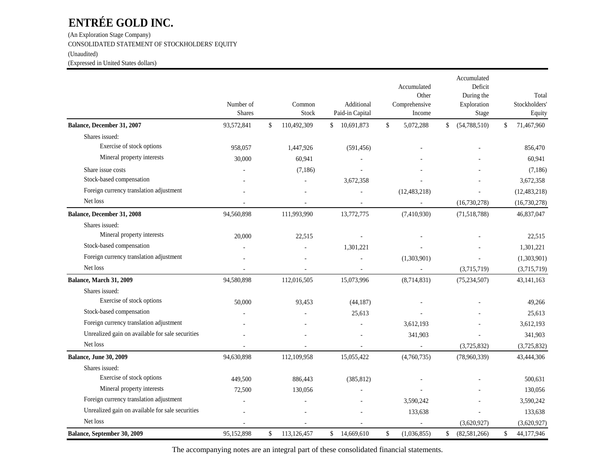(An Exploration Stage Company) CONSOLIDATED STATEMENT OF STOCKHOLDERS' EQUITY (Unaudited) (Expressed in United States dollars)

|                                                  | Number of<br><b>Shares</b> | Common<br>Stock   |                | Additional<br>Paid-in Capital |              | Accumulated<br>Other<br>Comprehensive<br>Income |              | Accumulated<br>Deficit<br>During the<br>Exploration<br>Stage | Total<br>Stockholders'<br>Equity |
|--------------------------------------------------|----------------------------|-------------------|----------------|-------------------------------|--------------|-------------------------------------------------|--------------|--------------------------------------------------------------|----------------------------------|
| Balance, December 31, 2007                       | 93,572,841                 | \$<br>110,492,309 | $\mathbb{S}^-$ | 10,691,873                    | $\mathbb{S}$ | 5,072,288                                       | $\mathbb{S}$ | (54, 788, 510)                                               | \$<br>71,467,960                 |
| Shares issued:                                   |                            |                   |                |                               |              |                                                 |              |                                                              |                                  |
| Exercise of stock options                        | 958,057                    | 1,447,926         |                | (591, 456)                    |              |                                                 |              |                                                              | 856,470                          |
| Mineral property interests                       | 30,000                     | 60,941            |                |                               |              |                                                 |              |                                                              | 60,941                           |
| Share issue costs                                |                            | (7,186)           |                |                               |              |                                                 |              |                                                              | (7,186)                          |
| Stock-based compensation                         |                            |                   |                | 3,672,358                     |              |                                                 |              |                                                              | 3,672,358                        |
| Foreign currency translation adjustment          |                            |                   |                |                               |              | (12, 483, 218)                                  |              |                                                              | (12, 483, 218)                   |
| Net loss                                         |                            |                   |                |                               |              |                                                 |              | (16,730,278)                                                 | (16,730,278)                     |
| Balance, December 31, 2008                       | 94,560,898                 | 111,993,990       |                | 13,772,775                    |              | (7,410,930)                                     |              | (71,518,788)                                                 | 46,837,047                       |
| Shares issued:                                   |                            |                   |                |                               |              |                                                 |              |                                                              |                                  |
| Mineral property interests                       | 20,000                     | 22,515            |                |                               |              |                                                 |              |                                                              | 22,515                           |
| Stock-based compensation                         |                            |                   |                | 1,301,221                     |              |                                                 |              |                                                              | 1,301,221                        |
| Foreign currency translation adjustment          |                            |                   |                |                               |              | (1,303,901)                                     |              |                                                              | (1,303,901)                      |
| Net loss                                         |                            |                   |                |                               |              |                                                 |              | (3,715,719)                                                  | (3,715,719)                      |
| Balance, March 31, 2009                          | 94,580,898                 | 112,016,505       |                | 15,073,996                    |              | (8,714,831)                                     |              | (75, 234, 507)                                               | 43, 141, 163                     |
| Shares issued:                                   |                            |                   |                |                               |              |                                                 |              |                                                              |                                  |
| Exercise of stock options                        | 50,000                     | 93,453            |                | (44, 187)                     |              |                                                 |              |                                                              | 49,266                           |
| Stock-based compensation                         |                            |                   |                | 25,613                        |              |                                                 |              |                                                              | 25,613                           |
| Foreign currency translation adjustment          |                            |                   |                |                               |              | 3,612,193                                       |              |                                                              | 3,612,193                        |
| Unrealized gain on available for sale securities |                            |                   |                |                               |              | 341,903                                         |              |                                                              | 341,903                          |
| Net loss                                         |                            |                   |                |                               |              |                                                 |              | (3,725,832)                                                  | (3,725,832)                      |
| <b>Balance, June 30, 2009</b>                    | 94,630,898                 | 112,109,958       |                | 15,055,422                    |              | (4,760,735)                                     |              | (78,960,339)                                                 | 43,444,306                       |
| Shares issued:                                   |                            |                   |                |                               |              |                                                 |              |                                                              |                                  |
| Exercise of stock options                        | 449,500                    | 886,443           |                | (385, 812)                    |              |                                                 |              |                                                              | 500,631                          |
| Mineral property interests                       | 72,500                     | 130,056           |                |                               |              |                                                 |              |                                                              | 130,056                          |
| Foreign currency translation adjustment          |                            |                   |                |                               |              | 3,590,242                                       |              |                                                              | 3,590,242                        |
| Unrealized gain on available for sale securities |                            |                   |                |                               |              | 133,638                                         |              |                                                              | 133,638                          |
| Net loss                                         |                            |                   |                |                               |              |                                                 |              | (3,620,927)                                                  | (3,620,927)                      |
| Balance, September 30, 2009                      | 95,152,898                 | \$<br>113,126,457 | \$             | 14,669,610                    | $\$$         | (1,036,855)                                     | \$           | (82,581,266)                                                 | \$<br>44,177,946                 |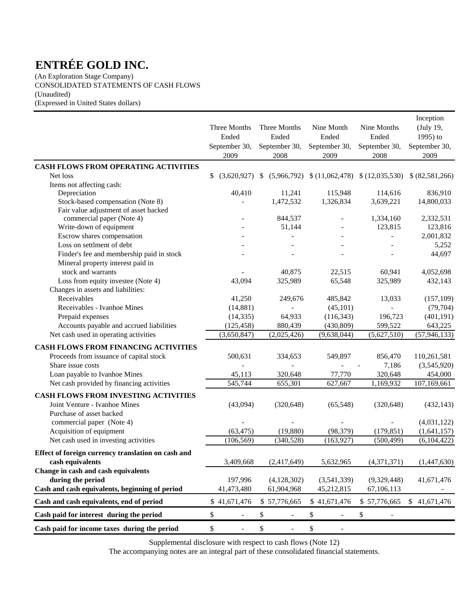(An Exploration Stage Company) CONSOLIDATED STATEMENTS OF CASH FLOWS (Unaudited) (Expressed in United States dollars)

|                                                      | Three Months<br>Ended<br>September 30,<br>2009 | Three Months<br>Ended<br>September 30,<br>2008 | Nine Month<br>Ended<br>September 30,<br>2009 | Nine Months<br>Ended<br>September 30,<br>2008 | Inception<br>(July 19,<br>1995) to<br>September 30,<br>2009 |
|------------------------------------------------------|------------------------------------------------|------------------------------------------------|----------------------------------------------|-----------------------------------------------|-------------------------------------------------------------|
| CASH FLOWS FROM OPERATING ACTIVITIES                 |                                                |                                                |                                              |                                               |                                                             |
| Net loss                                             | \$<br>(3,620,927)                              | (5,966,792)<br>-S                              |                                              | $(11,062,478)$ $(12,035,530)$                 | \$ (82,581,266)                                             |
| Items not affecting cash:                            |                                                |                                                |                                              |                                               |                                                             |
| Depreciation                                         | 40,410                                         | 11,241                                         | 115,948                                      | 114,616                                       | 836,910                                                     |
| Stock-based compensation (Note 8)                    |                                                | 1,472,532                                      | 1,326,834                                    | 3,639,221                                     | 14,800,033                                                  |
| Fair value adjustment of asset backed                |                                                |                                                |                                              |                                               |                                                             |
| commercial paper (Note 4)<br>Write-down of equipment |                                                | 844,537                                        |                                              | 1,334,160<br>123,815                          | 2,332,531<br>123,816                                        |
| Escrow shares compensation                           |                                                | 51,144                                         |                                              |                                               | 2,001,832                                                   |
| Loss on settlment of debt                            |                                                |                                                |                                              |                                               | 5,252                                                       |
| Finder's fee and membership paid in stock            |                                                |                                                |                                              |                                               | 44,697                                                      |
| Mineral property interest paid in                    |                                                |                                                |                                              |                                               |                                                             |
| stock and warrants                                   |                                                | 40,875                                         | 22,515                                       | 60,941                                        | 4,052,698                                                   |
| Loss from equity investee (Note 4)                   | 43,094                                         | 325,989                                        | 65,548                                       | 325,989                                       | 432,143                                                     |
| Changes in assets and liabilities:                   |                                                |                                                |                                              |                                               |                                                             |
| Receivables                                          | 41,250                                         | 249,676                                        | 485,842                                      | 13,033                                        | (157, 109)                                                  |
| Receivables - Ivanhoe Mines                          | (14, 881)                                      |                                                | (45, 101)                                    |                                               | (79, 704)                                                   |
| Prepaid expenses                                     | (14, 335)                                      | 64,933                                         | (116, 343)                                   | 196,723                                       | (401, 191)                                                  |
| Accounts payable and accrued liabilities             | (125, 458)                                     | 880,439                                        | (430, 809)                                   | 599,522                                       | 643,225                                                     |
| Net cash used in operating activities                | (3,650,847)                                    | (2,025,426)                                    | (9,638,044)                                  | (5,627,510)                                   | (57, 946, 133)                                              |
| CASH FLOWS FROM FINANCING ACTIVITIES                 |                                                |                                                |                                              |                                               |                                                             |
| Proceeds from issuance of capital stock              | 500,631                                        | 334,653                                        | 549,897                                      | 856,470                                       | 110,261,581                                                 |
| Share issue costs                                    |                                                |                                                |                                              | 7,186                                         | (3,545,920)                                                 |
| Loan payable to Ivanhoe Mines                        | 45,113                                         | 320,648                                        | 77,770                                       | 320,648                                       | 454,000                                                     |
| Net cash provided by financing activities            | 545,744                                        | 655,301                                        | 627,667                                      | 1,169,932                                     | 107,169,661                                                 |
| CASH FLOWS FROM INVESTING ACTIVITIES                 |                                                |                                                |                                              |                                               |                                                             |
| Joint Venture - Ivanhoe Mines                        | (43,094)                                       | (320, 648)                                     | (65, 548)                                    | (320, 648)                                    | (432, 143)                                                  |
| Purchase of asset backed                             |                                                |                                                |                                              |                                               |                                                             |
| commercial paper (Note 4)                            |                                                |                                                |                                              |                                               | (4,031,122)                                                 |
| Acquisition of equipment                             | (63, 475)                                      | (19, 880)                                      | (98, 379)                                    | (179, 851)                                    | (1,641,157)                                                 |
| Net cash used in investing activities                | (106, 569)                                     | (340, 528)                                     | (163, 927)                                   | (500, 499)                                    | (6,104,422)                                                 |
| Effect of foreign currency translation on cash and   |                                                |                                                |                                              |                                               |                                                             |
| cash equivalents                                     | 3,409,668                                      | (2,417,649)                                    | 5,632,965                                    | (4,371,371)                                   | (1,447,630)                                                 |
| Change in cash and cash equivalents                  |                                                |                                                |                                              |                                               |                                                             |
| during the period                                    | 197,996                                        | (4,128,302)                                    | (3,541,339)                                  | (9,329,448)                                   | 41,671,476                                                  |
| Cash and cash equivalents, beginning of period       | 41,473,480                                     | 61,904,968                                     | 45,212,815                                   | 67,106,113                                    |                                                             |
| Cash and cash equivalents, end of period             | \$41,671,476                                   | \$57,776,665                                   | \$41,671,476                                 | \$57,776,665                                  | \$41,671,476                                                |
| Cash paid for interest during the period             | \$                                             | \$                                             | \$<br>$\overline{\phantom{a}}$               | \$                                            |                                                             |
| Cash paid for income taxes during the period         | \$<br>$\overline{\phantom{a}}$                 | $\$$<br>$\overline{\phantom{a}}$               | \$<br>$\overline{\phantom{a}}$               |                                               |                                                             |

Supplemental disclosure with respect to cash flows (Note 12)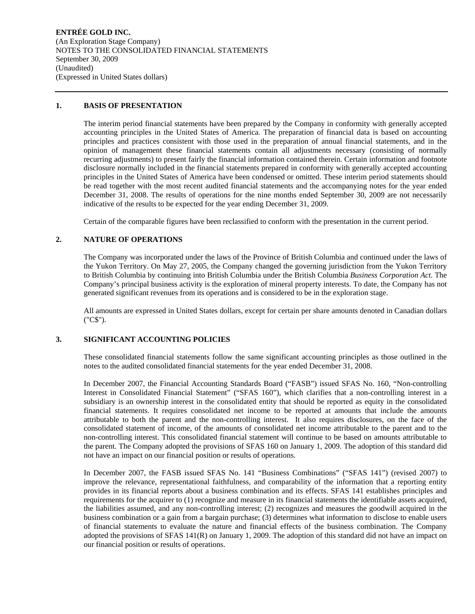**ENTRÉE GOLD INC.**  (An Exploration Stage Company) NOTES TO THE CONSOLIDATED FINANCIAL STATEMENTS September 30, 2009 (Unaudited) (Expressed in United States dollars)

## **1. BASIS OF PRESENTATION**

The interim period financial statements have been prepared by the Company in conformity with generally accepted accounting principles in the United States of America. The preparation of financial data is based on accounting principles and practices consistent with those used in the preparation of annual financial statements, and in the opinion of management these financial statements contain all adjustments necessary (consisting of normally recurring adjustments) to present fairly the financial information contained therein. Certain information and footnote disclosure normally included in the financial statements prepared in conformity with generally accepted accounting principles in the United States of America have been condensed or omitted. These interim period statements should be read together with the most recent audited financial statements and the accompanying notes for the year ended December 31, 2008. The results of operations for the nine months ended September 30, 2009 are not necessarily indicative of the results to be expected for the year ending December 31, 2009.

Certain of the comparable figures have been reclassified to conform with the presentation in the current period.

## **2. NATURE OF OPERATIONS**

The Company was incorporated under the laws of the Province of British Columbia and continued under the laws of the Yukon Territory. On May 27, 2005, the Company changed the governing jurisdiction from the Yukon Territory to British Columbia by continuing into British Columbia under the British Columbia *Business Corporation Act.* The Company's principal business activity is the exploration of mineral property interests. To date, the Company has not generated significant revenues from its operations and is considered to be in the exploration stage.

All amounts are expressed in United States dollars, except for certain per share amounts denoted in Canadian dollars ("C\$").

## **3. SIGNIFICANT ACCOUNTING POLICIES**

These consolidated financial statements follow the same significant accounting principles as those outlined in the notes to the audited consolidated financial statements for the year ended December 31, 2008.

In December 2007, the Financial Accounting Standards Board ("FASB") issued SFAS No. 160, "Non-controlling Interest in Consolidated Financial Statement" ("SFAS 160"), which clarifies that a non-controlling interest in a subsidiary is an ownership interest in the consolidated entity that should be reported as equity in the consolidated financial statements. It requires consolidated net income to be reported at amounts that include the amounts attributable to both the parent and the non-controlling interest. It also requires disclosures, on the face of the consolidated statement of income, of the amounts of consolidated net income attributable to the parent and to the non-controlling interest. This consolidated financial statement will continue to be based on amounts attributable to the parent. The Company adopted the provisions of SFAS 160 on January 1, 2009. The adoption of this standard did not have an impact on our financial position or results of operations.

In December 2007, the FASB issued SFAS No. 141 "Business Combinations" ("SFAS 141") (revised 2007) to improve the relevance, representational faithfulness, and comparability of the information that a reporting entity provides in its financial reports about a business combination and its effects. SFAS 141 establishes principles and requirements for the acquirer to (1) recognize and measure in its financial statements the identifiable assets acquired, the liabilities assumed, and any non-controlling interest; (2) recognizes and measures the goodwill acquired in the business combination or a gain from a bargain purchase; (3) determines what information to disclose to enable users of financial statements to evaluate the nature and financial effects of the business combination. The Company adopted the provisions of SFAS 141(R) on January 1, 2009. The adoption of this standard did not have an impact on our financial position or results of operations.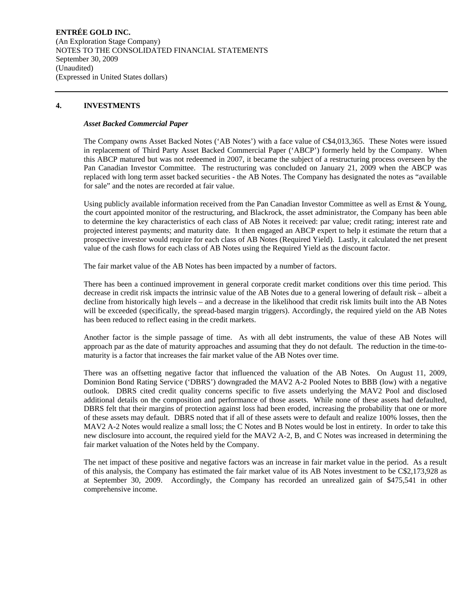## **ENTRÉE GOLD INC.**  (An Exploration Stage Company) NOTES TO THE CONSOLIDATED FINANCIAL STATEMENTS September 30, 2009 (Unaudited) (Expressed in United States dollars)

## **4. INVESTMENTS**

#### *Asset Backed Commercial Paper*

The Company owns Asset Backed Notes ('AB Notes') with a face value of C\$4,013,365. These Notes were issued in replacement of Third Party Asset Backed Commercial Paper ('ABCP') formerly held by the Company. When this ABCP matured but was not redeemed in 2007, it became the subject of a restructuring process overseen by the Pan Canadian Investor Committee. The restructuring was concluded on January 21, 2009 when the ABCP was replaced with long term asset backed securities - the AB Notes. The Company has designated the notes as "available for sale" and the notes are recorded at fair value.

Using publicly available information received from the Pan Canadian Investor Committee as well as Ernst & Young, the court appointed monitor of the restructuring, and Blackrock, the asset administrator, the Company has been able to determine the key characteristics of each class of AB Notes it received: par value; credit rating; interest rate and projected interest payments; and maturity date. It then engaged an ABCP expert to help it estimate the return that a prospective investor would require for each class of AB Notes (Required Yield). Lastly, it calculated the net present value of the cash flows for each class of AB Notes using the Required Yield as the discount factor.

The fair market value of the AB Notes has been impacted by a number of factors.

There has been a continued improvement in general corporate credit market conditions over this time period. This decrease in credit risk impacts the intrinsic value of the AB Notes due to a general lowering of default risk – albeit a decline from historically high levels – and a decrease in the likelihood that credit risk limits built into the AB Notes will be exceeded (specifically, the spread-based margin triggers). Accordingly, the required yield on the AB Notes has been reduced to reflect easing in the credit markets.

Another factor is the simple passage of time. As with all debt instruments, the value of these AB Notes will approach par as the date of maturity approaches and assuming that they do not default. The reduction in the time-tomaturity is a factor that increases the fair market value of the AB Notes over time.

There was an offsetting negative factor that influenced the valuation of the AB Notes. On August 11, 2009, Dominion Bond Rating Service ('DBRS') downgraded the MAV2 A-2 Pooled Notes to BBB (low) with a negative outlook. DBRS cited credit quality concerns specific to five assets underlying the MAV2 Pool and disclosed additional details on the composition and performance of those assets. While none of these assets had defaulted, DBRS felt that their margins of protection against loss had been eroded, increasing the probability that one or more of these assets may default. DBRS noted that if all of these assets were to default and realize 100% losses, then the MAV2 A-2 Notes would realize a small loss; the C Notes and B Notes would be lost in entirety. In order to take this new disclosure into account, the required yield for the MAV2 A-2, B, and C Notes was increased in determining the fair market valuation of the Notes held by the Company.

The net impact of these positive and negative factors was an increase in fair market value in the period. As a result of this analysis, the Company has estimated the fair market value of its AB Notes investment to be C\$2,173,928 as at September 30, 2009. Accordingly, the Company has recorded an unrealized gain of \$475,541 in other comprehensive income.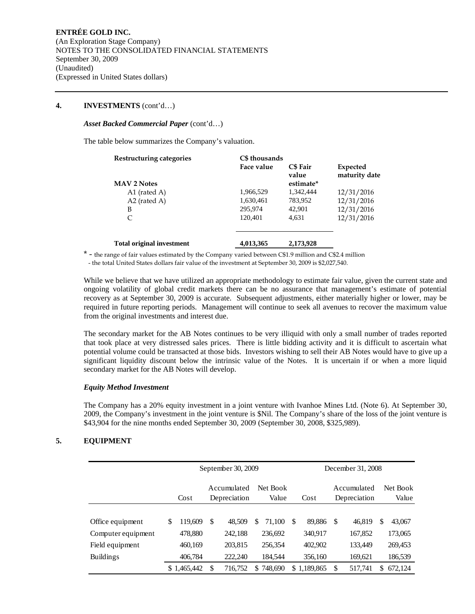### **4. INVESTMENTS** (cont'd…)

### *Asset Backed Commercial Paper* (cont'd…)

The table below summarizes the Company's valuation.

| Restructuring categories         | C\$ thousands |                                       |                           |
|----------------------------------|---------------|---------------------------------------|---------------------------|
| <b>MAV 2 Notes</b>               | Face value    | <b>C\$</b> Fair<br>value<br>estimate* | Expected<br>maturity date |
| A1 (rated A)                     | 1,966,529     | 1,342,444                             | 12/31/2016                |
| A2 (rated A)                     | 1,630,461     | 783,952                               | 12/31/2016                |
| B                                | 295.974       | 42,901                                | 12/31/2016                |
| C                                | 120,401       | 4.631                                 | 12/31/2016                |
| <b>Total original investment</b> | 4,013,365     | 2,173,928                             |                           |

\* - the range of fair values estimated by the Company varied between C\$1.9 million and C\$2.4 million - the total United States dollars fair value of the investment at September 30, 2009 is \$2,027,540.

While we believe that we have utilized an appropriate methodology to estimate fair value, given the current state and ongoing volatility of global credit markets there can be no assurance that management's estimate of potential recovery as at September 30, 2009 is accurate. Subsequent adjustments, either materially higher or lower, may be required in future reporting periods. Management will continue to seek all avenues to recover the maximum value from the original investments and interest due.

The secondary market for the AB Notes continues to be very illiquid with only a small number of trades reported that took place at very distressed sales prices. There is little bidding activity and it is difficult to ascertain what potential volume could be transacted at those bids. Investors wishing to sell their AB Notes would have to give up a significant liquidity discount below the intrinsic value of the Notes. It is uncertain if or when a more liquid secondary market for the AB Notes will develop.

### *Equity Method Investment*

The Company has a 20% equity investment in a joint venture with Ivanhoe Mines Ltd. (Note 6). At September 30, 2009, the Company's investment in the joint venture is \$Nil. The Company's share of the loss of the joint venture is \$43,904 for the nine months ended September 30, 2009 (September 30, 2008, \$325,989).

## **5. EQUIPMENT**

|                                       |   | September 30, 2009     |                             |                    |    |                           |          |                             |    | December 31, 2008  |    |                    |
|---------------------------------------|---|------------------------|-----------------------------|--------------------|----|---------------------------|----------|-----------------------------|----|--------------------|----|--------------------|
|                                       |   | Cost                   | Accumulated<br>Depreciation |                    |    | Net Book<br>Value<br>Cost |          | Accumulated<br>Depreciation |    | Net Book<br>Value  |    |                    |
| Office equipment                      | S | 119.609                | S                           | 48.509             | \$ | 71.100                    | <b>S</b> | 89,886                      | -S | 46.819             | \$ | 43,067             |
| Computer equipment<br>Field equipment |   | 478,880<br>460,169     |                             | 242,188<br>203,815 |    | 236,692<br>256,354        |          | 340,917<br>402,902          |    | 167,852<br>133,449 |    | 173,065<br>269,453 |
| <b>Buildings</b>                      |   | 406,784<br>\$1,465,442 | \$                          | 222,240<br>716.752 | S  | 184,544<br>748,690        |          | 356,160<br>\$1,189,865      | \$ | 169,621<br>517,741 | \$ | 186,539<br>672,124 |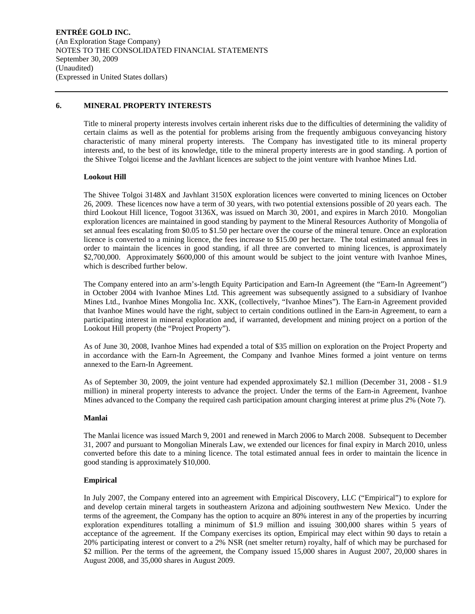#### **6. MINERAL PROPERTY INTERESTS**

Title to mineral property interests involves certain inherent risks due to the difficulties of determining the validity of certain claims as well as the potential for problems arising from the frequently ambiguous conveyancing history characteristic of many mineral property interests. The Company has investigated title to its mineral property interests and, to the best of its knowledge, title to the mineral property interests are in good standing. A portion of the Shivee Tolgoi license and the Javhlant licences are subject to the joint venture with Ivanhoe Mines Ltd.

#### **Lookout Hill**

The Shivee Tolgoi 3148X and Javhlant 3150X exploration licences were converted to mining licences on October 26, 2009. These licences now have a term of 30 years, with two potential extensions possible of 20 years each. The third Lookout Hill licence, Togoot 3136X, was issued on March 30, 2001, and expires in March 2010. Mongolian exploration licences are maintained in good standing by payment to the Mineral Resources Authority of Mongolia of set annual fees escalating from \$0.05 to \$1.50 per hectare over the course of the mineral tenure. Once an exploration licence is converted to a mining licence, the fees increase to \$15.00 per hectare. The total estimated annual fees in order to maintain the licences in good standing, if all three are converted to mining licences, is approximately \$2,700,000. Approximately \$600,000 of this amount would be subject to the joint venture with Ivanhoe Mines, which is described further below.

The Company entered into an arm's-length Equity Participation and Earn-In Agreement (the "Earn-In Agreement") in October 2004 with Ivanhoe Mines Ltd. This agreement was subsequently assigned to a subsidiary of Ivanhoe Mines Ltd., Ivanhoe Mines Mongolia Inc. XXK, (collectively, "Ivanhoe Mines"). The Earn-in Agreement provided that Ivanhoe Mines would have the right, subject to certain conditions outlined in the Earn-in Agreement, to earn a participating interest in mineral exploration and, if warranted, development and mining project on a portion of the Lookout Hill property (the "Project Property").

As of June 30, 2008, Ivanhoe Mines had expended a total of \$35 million on exploration on the Project Property and in accordance with the Earn-In Agreement, the Company and Ivanhoe Mines formed a joint venture on terms annexed to the Earn-In Agreement.

As of September 30, 2009, the joint venture had expended approximately \$2.1 million (December 31, 2008 - \$1.9 million) in mineral property interests to advance the project. Under the terms of the Earn-in Agreement, Ivanhoe Mines advanced to the Company the required cash participation amount charging interest at prime plus 2% (Note 7).

#### **Manlai**

The Manlai licence was issued March 9, 2001 and renewed in March 2006 to March 2008. Subsequent to December 31, 2007 and pursuant to Mongolian Minerals Law, we extended our licences for final expiry in March 2010, unless converted before this date to a mining licence. The total estimated annual fees in order to maintain the licence in good standing is approximately \$10,000.

## **Empirical**

In July 2007, the Company entered into an agreement with Empirical Discovery, LLC ("Empirical") to explore for and develop certain mineral targets in southeastern Arizona and adjoining southwestern New Mexico. Under the terms of the agreement, the Company has the option to acquire an 80% interest in any of the properties by incurring exploration expenditures totalling a minimum of \$1.9 million and issuing 300,000 shares within 5 years of acceptance of the agreement. If the Company exercises its option, Empirical may elect within 90 days to retain a 20% participating interest or convert to a 2% NSR (net smelter return) royalty, half of which may be purchased for \$2 million. Per the terms of the agreement, the Company issued 15,000 shares in August 2007, 20,000 shares in August 2008, and 35,000 shares in August 2009.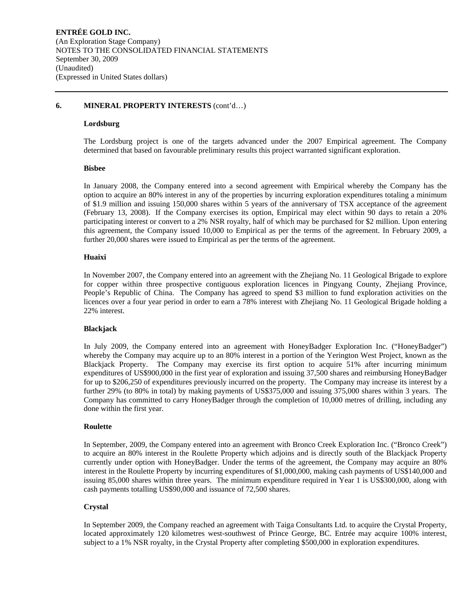## **6. MINERAL PROPERTY INTERESTS** (cont'd…)

### **Lordsburg**

The Lordsburg project is one of the targets advanced under the 2007 Empirical agreement. The Company determined that based on favourable preliminary results this project warranted significant exploration.

#### **Bisbee**

In January 2008, the Company entered into a second agreement with Empirical whereby the Company has the option to acquire an 80% interest in any of the properties by incurring exploration expenditures totaling a minimum of \$1.9 million and issuing 150,000 shares within 5 years of the anniversary of TSX acceptance of the agreement (February 13, 2008). If the Company exercises its option, Empirical may elect within 90 days to retain a 20% participating interest or convert to a 2% NSR royalty, half of which may be purchased for \$2 million. Upon entering this agreement, the Company issued 10,000 to Empirical as per the terms of the agreement. In February 2009, a further 20,000 shares were issued to Empirical as per the terms of the agreement.

#### **Huaixi**

In November 2007, the Company entered into an agreement with the Zhejiang No. 11 Geological Brigade to explore for copper within three prospective contiguous exploration licences in Pingyang County, Zhejiang Province, People's Republic of China. The Company has agreed to spend \$3 million to fund exploration activities on the licences over a four year period in order to earn a 78% interest with Zhejiang No. 11 Geological Brigade holding a 22% interest.

#### **Blackjack**

In July 2009, the Company entered into an agreement with HoneyBadger Exploration Inc. ("HoneyBadger") whereby the Company may acquire up to an 80% interest in a portion of the Yerington West Project, known as the Blackjack Property. The Company may exercise its first option to acquire 51% after incurring minimum expenditures of US\$900,000 in the first year of exploration and issuing 37,500 shares and reimbursing HoneyBadger for up to \$206,250 of expenditures previously incurred on the property. The Company may increase its interest by a further 29% (to 80% in total) by making payments of US\$375,000 and issuing 375,000 shares within 3 years. The Company has committed to carry HoneyBadger through the completion of 10,000 metres of drilling, including any done within the first year.

#### **Roulette**

In September, 2009, the Company entered into an agreement with Bronco Creek Exploration Inc. ("Bronco Creek") to acquire an 80% interest in the Roulette Property which adjoins and is directly south of the Blackjack Property currently under option with HoneyBadger. Under the terms of the agreement, the Company may acquire an 80% interest in the Roulette Property by incurring expenditures of \$1,000,000, making cash payments of US\$140,000 and issuing 85,000 shares within three years. The minimum expenditure required in Year 1 is US\$300,000, along with cash payments totalling US\$90,000 and issuance of 72,500 shares.

#### **Crystal**

In September 2009, the Company reached an agreement with Taiga Consultants Ltd. to acquire the Crystal Property, located approximately 120 kilometres west-southwest of Prince George, BC. Entrée may acquire 100% interest, subject to a 1% NSR royalty, in the Crystal Property after completing \$500,000 in exploration expenditures.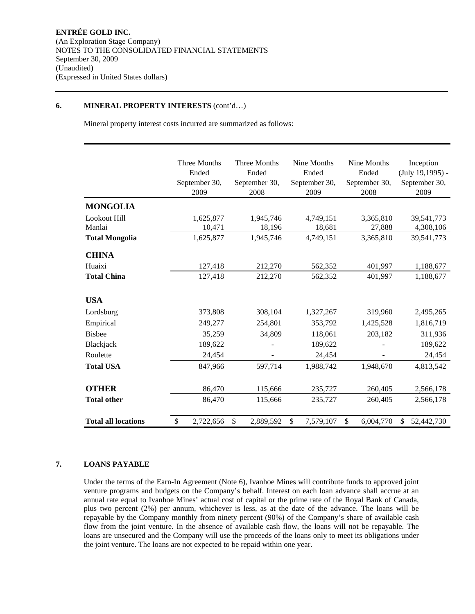### **6. MINERAL PROPERTY INTERESTS** (cont'd…)

Mineral property interest costs incurred are summarized as follows:

|                            | Three Months    | Three Months    | Nine Months     | Nine Months     | Inception        |
|----------------------------|-----------------|-----------------|-----------------|-----------------|------------------|
|                            | Ended           | Ended           | Ended           | Ended           | (July 19,1995) - |
|                            | September 30,   | September 30,   | September 30,   | September 30,   | September 30,    |
|                            | 2009            | 2008            | 2009            | 2008            | 2009             |
| <b>MONGOLIA</b>            |                 |                 |                 |                 |                  |
| Lookout Hill               | 1,625,877       | 1,945,746       | 4,749,151       | 3,365,810       | 39,541,773       |
| Manlai                     | 10,471          | 18,196          | 18,681          | 27,888          | 4,308,106        |
| <b>Total Mongolia</b>      | 1,625,877       | 1,945,746       | 4,749,151       | 3,365,810       | 39,541,773       |
| <b>CHINA</b>               |                 |                 |                 |                 |                  |
| Huaixi                     | 127,418         | 212,270         | 562,352         | 401,997         | 1,188,677        |
| <b>Total China</b>         | 127,418         | 212,270         | 562,352         | 401,997         | 1,188,677        |
| <b>USA</b>                 |                 |                 |                 |                 |                  |
| Lordsburg                  | 373,808         | 308,104         | 1,327,267       | 319,960         | 2,495,265        |
| Empirical                  | 249,277         | 254,801         | 353,792         | 1,425,528       | 1,816,719        |
| <b>Bisbee</b>              | 35,259          | 34,809          | 118,061         | 203,182         | 311,936          |
| Blackjack                  | 189,622         |                 | 189,622         |                 | 189,622          |
| Roulette                   | 24,454          |                 | 24,454          |                 | 24,454           |
| <b>Total USA</b>           | 847,966         | 597,714         | 1,988,742       | 1,948,670       | 4,813,542        |
| <b>OTHER</b>               | 86,470          | 115,666         | 235,727         | 260,405         | 2,566,178        |
| <b>Total other</b>         | 86,470          | 115,666         | 235,727         | 260,405         | 2,566,178        |
| <b>Total all locations</b> | \$<br>2,722,656 | \$<br>2,889,592 | \$<br>7,579,107 | \$<br>6,004,770 | \$<br>52,442,730 |

## **7. LOANS PAYABLE**

Under the terms of the Earn-In Agreement (Note 6), Ivanhoe Mines will contribute funds to approved joint venture programs and budgets on the Company's behalf. Interest on each loan advance shall accrue at an annual rate equal to Ivanhoe Mines' actual cost of capital or the prime rate of the Royal Bank of Canada, plus two percent (2%) per annum, whichever is less, as at the date of the advance. The loans will be repayable by the Company monthly from ninety percent (90%) of the Company's share of available cash flow from the joint venture. In the absence of available cash flow, the loans will not be repayable. The loans are unsecured and the Company will use the proceeds of the loans only to meet its obligations under the joint venture. The loans are not expected to be repaid within one year.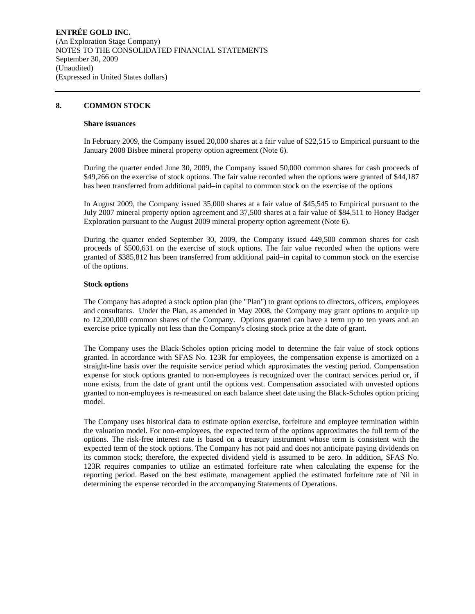#### **8. COMMON STOCK**

#### **Share issuances**

In February 2009, the Company issued 20,000 shares at a fair value of \$22,515 to Empirical pursuant to the January 2008 Bisbee mineral property option agreement (Note 6).

During the quarter ended June 30, 2009, the Company issued 50,000 common shares for cash proceeds of \$49,266 on the exercise of stock options. The fair value recorded when the options were granted of \$44,187 has been transferred from additional paid–in capital to common stock on the exercise of the options

In August 2009, the Company issued 35,000 shares at a fair value of \$45,545 to Empirical pursuant to the July 2007 mineral property option agreement and 37,500 shares at a fair value of \$84,511 to Honey Badger Exploration pursuant to the August 2009 mineral property option agreement (Note 6).

During the quarter ended September 30, 2009, the Company issued 449,500 common shares for cash proceeds of \$500,631 on the exercise of stock options. The fair value recorded when the options were granted of \$385,812 has been transferred from additional paid–in capital to common stock on the exercise of the options.

#### **Stock options**

The Company has adopted a stock option plan (the "Plan") to grant options to directors, officers, employees and consultants. Under the Plan, as amended in May 2008, the Company may grant options to acquire up to 12,200,000 common shares of the Company. Options granted can have a term up to ten years and an exercise price typically not less than the Company's closing stock price at the date of grant.

The Company uses the Black-Scholes option pricing model to determine the fair value of stock options granted. In accordance with SFAS No. 123R for employees, the compensation expense is amortized on a straight-line basis over the requisite service period which approximates the vesting period. Compensation expense for stock options granted to non-employees is recognized over the contract services period or, if none exists, from the date of grant until the options vest. Compensation associated with unvested options granted to non-employees is re-measured on each balance sheet date using the Black-Scholes option pricing model.

The Company uses historical data to estimate option exercise, forfeiture and employee termination within the valuation model. For non-employees, the expected term of the options approximates the full term of the options. The risk-free interest rate is based on a treasury instrument whose term is consistent with the expected term of the stock options. The Company has not paid and does not anticipate paying dividends on its common stock; therefore, the expected dividend yield is assumed to be zero. In addition, SFAS No. 123R requires companies to utilize an estimated forfeiture rate when calculating the expense for the reporting period. Based on the best estimate, management applied the estimated forfeiture rate of Nil in determining the expense recorded in the accompanying Statements of Operations.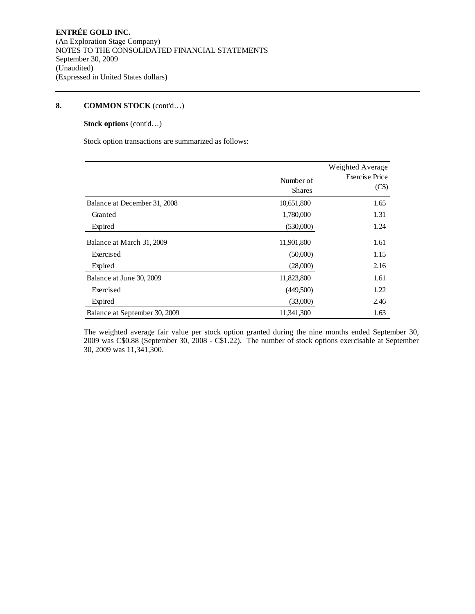## **Stock options** (cont'd…)

Stock option transactions are summarized as follows:

|                               | Number of<br><b>Shares</b> | Weighted Average<br><b>Exercise Price</b><br>(C\$) |
|-------------------------------|----------------------------|----------------------------------------------------|
| Balance at December 31, 2008  | 10,651,800                 | 1.65                                               |
| Granted                       | 1,780,000                  | 1.31                                               |
| Expired                       | (530,000)                  | 1.24                                               |
| Balance at March 31, 2009     | 11,901,800                 | 1.61                                               |
| Exercised                     | (50,000)                   | 1.15                                               |
| Expired                       | (28,000)                   | 2.16                                               |
| Balance at June 30, 2009      | 11,823,800                 | 1.61                                               |
| Exercised                     | (449,500)                  | 1.22                                               |
| Expired                       | (33,000)                   | 2.46                                               |
| Balance at September 30, 2009 | 11,341,300                 | 1.63                                               |

The weighted average fair value per stock option granted during the nine months ended September 30, 2009 was C\$0.88 (September 30, 2008 - C\$1.22). The number of stock options exercisable at September 30, 2009 was 11,341,300.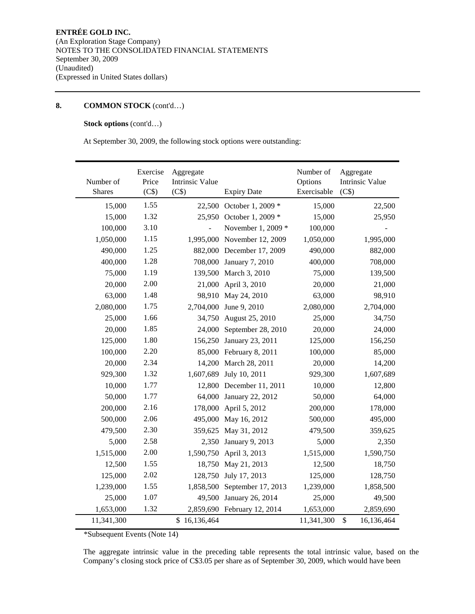## **Stock options** (cont'd…)

At September 30, 2009, the following stock options were outstanding:

| Number of<br><b>Shares</b> | Exercise<br>Price<br>(C\$) | Aggregate<br><b>Intrinsic Value</b><br>(C\$) | <b>Expiry Date</b>       | Number of<br>Options<br>Exercisable | Aggregate<br><b>Intrinsic Value</b><br>(C\$) |
|----------------------------|----------------------------|----------------------------------------------|--------------------------|-------------------------------------|----------------------------------------------|
| 15,000                     | 1.55                       | 22,500                                       | October 1, 2009 *        | 15,000                              | 22,500                                       |
| 15,000                     | 1.32                       |                                              | 25,950 October 1, 2009 * | 15,000                              | 25,950                                       |
| 100,000                    | 3.10                       |                                              | November 1, 2009 *       | 100,000                             |                                              |
| 1,050,000                  | 1.15                       | 1,995,000                                    | November 12, 2009        | 1,050,000                           | 1,995,000                                    |
| 490,000                    | 1.25                       | 882,000                                      | December 17, 2009        | 490,000                             | 882,000                                      |
| 400,000                    | 1.28                       | 708,000                                      | January 7, 2010          | 400,000                             | 708,000                                      |
| 75,000                     | 1.19                       | 139,500                                      | March 3, 2010            | 75,000                              | 139,500                                      |
| 20,000                     | 2.00                       | 21,000                                       | April 3, 2010            | 20,000                              | 21,000                                       |
| 63,000                     | 1.48                       | 98,910                                       | May 24, 2010             | 63,000                              | 98,910                                       |
| 2,080,000                  | 1.75                       | 2,704,000                                    | June 9, 2010             | 2,080,000                           | 2,704,000                                    |
| 25,000                     | 1.66                       | 34,750                                       | August 25, 2010          | 25,000                              | 34,750                                       |
| 20,000                     | 1.85                       | 24,000                                       | September 28, 2010       | 20,000                              | 24,000                                       |
| 125,000                    | 1.80                       | 156,250                                      | January 23, 2011         | 125,000                             | 156,250                                      |
| 100,000                    | 2.20                       | 85,000                                       | February 8, 2011         | 100,000                             | 85,000                                       |
| 20,000                     | 2.34                       | 14,200                                       | March 28, 2011           | 20,000                              | 14,200                                       |
| 929,300                    | 1.32                       | 1,607,689                                    | July 10, 2011            | 929,300                             | 1,607,689                                    |
| 10,000                     | 1.77                       | 12,800                                       | December 11, 2011        | 10,000                              | 12,800                                       |
| 50,000                     | 1.77                       | 64,000                                       | January 22, 2012         | 50,000                              | 64,000                                       |
| 200,000                    | 2.16                       | 178,000                                      | April 5, 2012            | 200,000                             | 178,000                                      |
| 500,000                    | 2.06                       | 495,000                                      | May 16, 2012             | 500,000                             | 495,000                                      |
| 479,500                    | 2.30                       | 359,625                                      | May 31, 2012             | 479,500                             | 359,625                                      |
| 5,000                      | 2.58                       | 2,350                                        | January 9, 2013          | 5,000                               | 2,350                                        |
| 1,515,000                  | 2.00                       | 1,590,750                                    | April 3, 2013            | 1,515,000                           | 1,590,750                                    |
| 12,500                     | 1.55                       | 18,750                                       | May 21, 2013             | 12,500                              | 18,750                                       |
| 125,000                    | 2.02                       | 128,750                                      | July 17, 2013            | 125,000                             | 128,750                                      |
| 1,239,000                  | 1.55                       | 1,858,500                                    | September 17, 2013       | 1,239,000                           | 1,858,500                                    |
| 25,000                     | 1.07                       | 49,500                                       | January 26, 2014         | 25,000                              | 49,500                                       |
| 1,653,000                  | 1.32                       | 2,859,690                                    | February 12, 2014        | 1,653,000                           | 2,859,690                                    |
| 11,341,300                 |                            | \$16,136,464                                 |                          | 11,341,300                          | \$<br>16,136,464                             |

\*Subsequent Events (Note 14)

The aggregate intrinsic value in the preceding table represents the total intrinsic value, based on the Company's closing stock price of C\$3.05 per share as of September 30, 2009, which would have been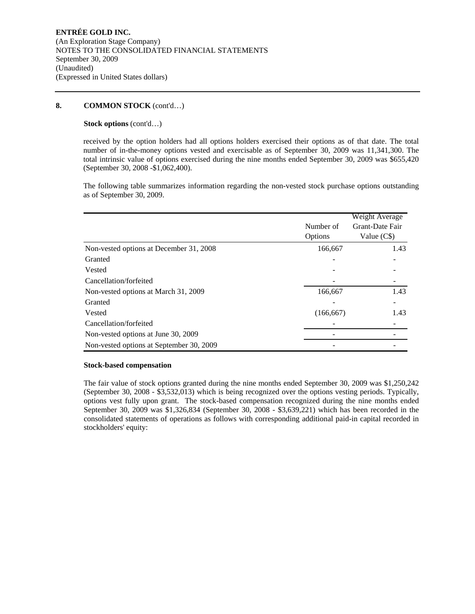#### **Stock options** (cont'd…)

received by the option holders had all options holders exercised their options as of that date. The total number of in-the-money options vested and exercisable as of September 30, 2009 was 11,341,300. The total intrinsic value of options exercised during the nine months ended September 30, 2009 was \$655,420 (September 30, 2008 -\$1,062,400).

The following table summarizes information regarding the non-vested stock purchase options outstanding as of September 30, 2009.

|                                          | Number of<br>Options | Weight Average<br>Grant-Date Fair<br>Value (C\$) |
|------------------------------------------|----------------------|--------------------------------------------------|
| Non-vested options at December 31, 2008  | 166,667              | 1.43                                             |
| Granted                                  |                      |                                                  |
| Vested                                   |                      |                                                  |
| Cancellation/forfeited                   |                      |                                                  |
| Non-vested options at March 31, 2009     | 166,667              | 1.43                                             |
| Granted                                  |                      |                                                  |
| Vested                                   | (166, 667)           | 1.43                                             |
| Cancellation/forfeited                   |                      |                                                  |
| Non-vested options at June 30, 2009      |                      |                                                  |
| Non-vested options at September 30, 2009 |                      |                                                  |

#### **Stock-based compensation**

The fair value of stock options granted during the nine months ended September 30, 2009 was \$1,250,242 (September 30, 2008 - \$3,532,013) which is being recognized over the options vesting periods. Typically, options vest fully upon grant. The stock-based compensation recognized during the nine months ended September 30, 2009 was \$1,326,834 (September 30, 2008 - \$3,639,221) which has been recorded in the consolidated statements of operations as follows with corresponding additional paid-in capital recorded in stockholders' equity: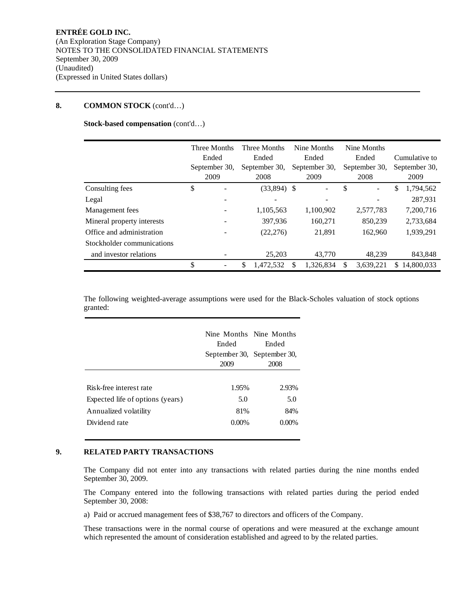**Stock-based compensation** (cont'd…)

|                            | Three Months<br>Ended<br>September 30,<br>2009 | Three Months<br>Ended<br>September 30,<br>2008 | Nine Months<br>Ended<br>September 30,<br>2009 |     | Nine Months<br>Ended<br>September 30,<br>2008 |    | Cumulative to<br>September 30,<br>2009 |
|----------------------------|------------------------------------------------|------------------------------------------------|-----------------------------------------------|-----|-----------------------------------------------|----|----------------------------------------|
| Consulting fees            | \$                                             | $(33,894)$ \$                                  | $\overline{a}$                                | \$  | ÷.                                            | \$ | 1,794,562                              |
| Legal                      |                                                |                                                |                                               |     |                                               |    | 287,931                                |
| Management fees            |                                                | 1,105,563                                      | 1,100,902                                     |     | 2,577,783                                     |    | 7,200,716                              |
| Mineral property interests |                                                | 397.936                                        | 160.271                                       |     | 850.239                                       |    | 2,733,684                              |
| Office and administration  |                                                | (22, 276)                                      | 21,891                                        |     | 162,960                                       |    | 1.939.291                              |
| Stockholder communications |                                                |                                                |                                               |     |                                               |    |                                        |
| and investor relations     |                                                | 25,203                                         | 43,770                                        |     | 48.239                                        |    | 843,848                                |
|                            | \$                                             | \$<br>1,472,532                                | \$<br>1,326,834                               | \$. | 3,639,221                                     | S  | 14,800,033                             |

The following weighted-average assumptions were used for the Black-Scholes valuation of stock options granted:

|                                                                                      | Nine Months Nine Months<br>Ended<br>2009 | Ended<br>September 30, September 30,<br>2008 |
|--------------------------------------------------------------------------------------|------------------------------------------|----------------------------------------------|
| Risk-free interest rate<br>Expected life of options (years)<br>Annualized volatility | 1.95%<br>5.0<br>81%                      | 2.93%<br>5.0<br>84%                          |
| Dividend rate                                                                        | $0.00\%$                                 | $0.00\%$                                     |

### **9. RELATED PARTY TRANSACTIONS**

The Company did not enter into any transactions with related parties during the nine months ended September 30, 2009.

The Company entered into the following transactions with related parties during the period ended September 30, 2008:

a) Paid or accrued management fees of \$38,767 to directors and officers of the Company.

These transactions were in the normal course of operations and were measured at the exchange amount which represented the amount of consideration established and agreed to by the related parties.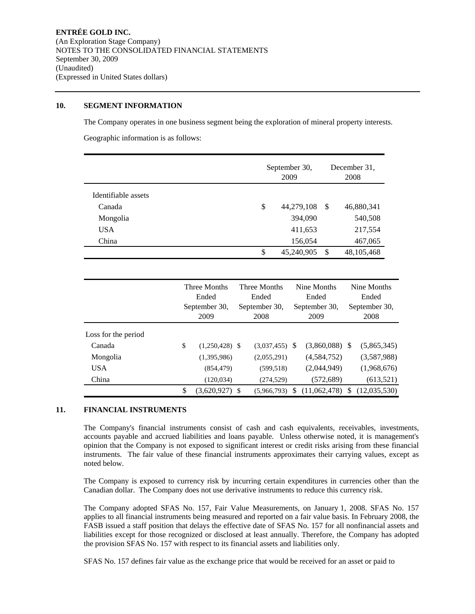### **10. SEGMENT INFORMATION**

The Company operates in one business segment being the exploration of mineral property interests.

Geographic information is as follows:

|                     | September 30,<br>2009 |               | December 31.<br>2008 |  |
|---------------------|-----------------------|---------------|----------------------|--|
| Identifiable assets |                       |               |                      |  |
| Canada              | \$<br>44,279,108      | -S            | 46,880,341           |  |
| Mongolia            | 394,090               |               | 540,508              |  |
| <b>USA</b>          | 411,653               |               | 217,554              |  |
| China               | 156,054               |               | 467,065              |  |
|                     | \$<br>45,240,905      | <sup>\$</sup> | 48,105,468           |  |

|                     |    | Three Months<br>Ended<br>September 30,<br>2009 | Three Months<br>Ended<br>September 30,<br>2008 |   | Nine Months<br>Ended<br>September 30,<br>2009 | Nine Months<br>Ended<br>September 30,<br>2008 |
|---------------------|----|------------------------------------------------|------------------------------------------------|---|-----------------------------------------------|-----------------------------------------------|
| Loss for the period |    |                                                |                                                |   |                                               |                                               |
| Canada              | \$ | $(1,250,428)$ \$                               | $(3,037,455)$ \$                               |   | $(3,860,088)$ \$                              | (5,865,345)                                   |
| Mongolia            |    | (1,395,986)                                    | (2,055,291)                                    |   | (4,584,752)                                   | (3,587,988)                                   |
| <b>USA</b>          |    | (854, 479)                                     | (599, 518)                                     |   | (2,044,949)                                   | (1,968,676)                                   |
| China               |    | (120, 034)                                     | (274, 529)                                     |   | (572, 689)                                    | (613,521)                                     |
|                     | S  | $(3,620,927)$ \$                               | (5.966.793)                                    | S | (11,062,478)                                  | \$<br>(12,035,530)                            |

## **11. FINANCIAL INSTRUMENTS**

The Company's financial instruments consist of cash and cash equivalents, receivables, investments, accounts payable and accrued liabilities and loans payable. Unless otherwise noted, it is management's opinion that the Company is not exposed to significant interest or credit risks arising from these financial instruments. The fair value of these financial instruments approximates their carrying values, except as noted below.

The Company is exposed to currency risk by incurring certain expenditures in currencies other than the Canadian dollar. The Company does not use derivative instruments to reduce this currency risk.

The Company adopted SFAS No. 157, Fair Value Measurements, on January 1, 2008. SFAS No. 157 applies to all financial instruments being measured and reported on a fair value basis. In February 2008, the FASB issued a staff position that delays the effective date of SFAS No. 157 for all nonfinancial assets and liabilities except for those recognized or disclosed at least annually. Therefore, the Company has adopted the provision SFAS No. 157 with respect to its financial assets and liabilities only.

SFAS No. 157 defines fair value as the exchange price that would be received for an asset or paid to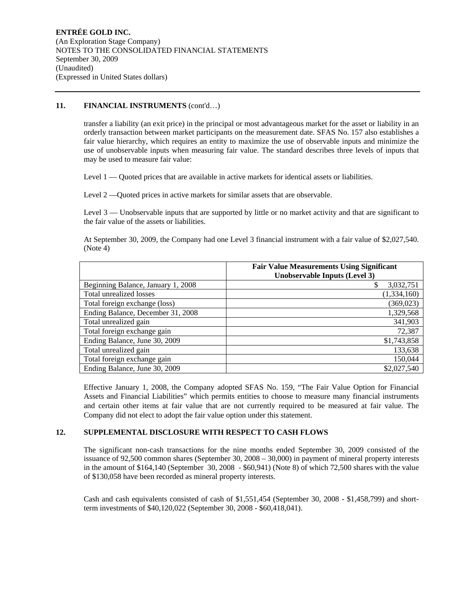## 11. **FINANCIAL INSTRUMENTS** (cont'd...)

transfer a liability (an exit price) in the principal or most advantageous market for the asset or liability in an orderly transaction between market participants on the measurement date. SFAS No. 157 also establishes a fair value hierarchy, which requires an entity to maximize the use of observable inputs and minimize the use of unobservable inputs when measuring fair value. The standard describes three levels of inputs that may be used to measure fair value:

Level 1 — Quoted prices that are available in active markets for identical assets or liabilities.

Level 2 —Quoted prices in active markets for similar assets that are observable.

Level 3 — Unobservable inputs that are supported by little or no market activity and that are significant to the fair value of the assets or liabilities.

At September 30, 2009, the Company had one Level 3 financial instrument with a fair value of \$2,027,540. (Note 4)

|                                    | <b>Fair Value Measurements Using Significant</b> |
|------------------------------------|--------------------------------------------------|
|                                    | Unobservable Inputs (Level 3)                    |
| Beginning Balance, January 1, 2008 | \$<br>3,032,751                                  |
| Total unrealized losses            | (1, 334, 160)                                    |
| Total foreign exchange (loss)      | (369, 023)                                       |
| Ending Balance, December 31, 2008  | 1,329,568                                        |
| Total unrealized gain              | 341,903                                          |
| Total foreign exchange gain        | 72,387                                           |
| Ending Balance, June 30, 2009      | \$1,743,858                                      |
| Total unrealized gain              | 133,638                                          |
| Total foreign exchange gain        | 150,044                                          |
| Ending Balance, June 30, 2009      | \$2,027,540                                      |

Effective January 1, 2008, the Company adopted SFAS No. 159, "The Fair Value Option for Financial Assets and Financial Liabilities" which permits entities to choose to measure many financial instruments and certain other items at fair value that are not currently required to be measured at fair value. The Company did not elect to adopt the fair value option under this statement.

## **12. SUPPLEMENTAL DISCLOSURE WITH RESPECT TO CASH FLOWS**

The significant non-cash transactions for the nine months ended September 30, 2009 consisted of the issuance of 92,500 common shares (September 30, 2008 – 30,000) in payment of mineral property interests in the amount of \$164,140 (September 30, 2008 - \$60,941) (Note 8) of which 72,500 shares with the value of \$130,058 have been recorded as mineral property interests.

Cash and cash equivalents consisted of cash of \$1,551,454 (September 30, 2008 - \$1,458,799) and shortterm investments of \$40,120,022 (September 30, 2008 - \$60,418,041).